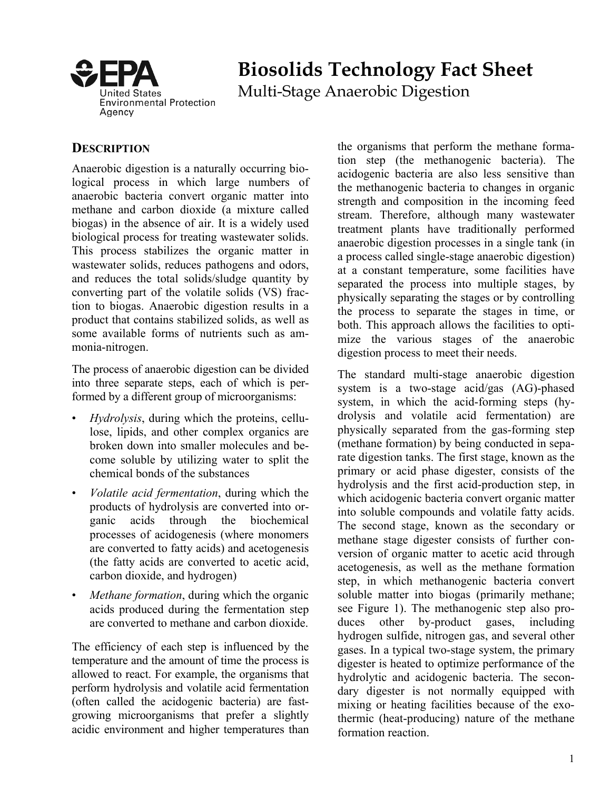

# **Biosolids Technology Fact Sheet**

Multi-Stage Anaerobic Digestion

## **DESCRIPTION**

Anaerobic digestion is a naturally occurring biological process in which large numbers of anaerobic bacteria convert organic matter into methane and carbon dioxide (a mixture called biogas) in the absence of air. It is a widely used biological process for treating wastewater solids. This process stabilizes the organic matter in wastewater solids, reduces pathogens and odors, and reduces the total solids/sludge quantity by converting part of the volatile solids (VS) fraction to biogas. Anaerobic digestion results in a product that contains stabilized solids, as well as some available forms of nutrients such as ammonia-nitrogen.

The process of anaerobic digestion can be divided into three separate steps, each of which is performed by a different group of microorganisms:

- *Hydrolysis*, during which the proteins, cellulose, lipids, and other complex organics are broken down into smaller molecules and become soluble by utilizing water to split the chemical bonds of the substances
- *Volatile acid fermentation*, during which the products of hydrolysis are converted into organic acids through the biochemical processes of acidogenesis (where monomers are converted to fatty acids) and acetogenesis (the fatty acids are converted to acetic acid, carbon dioxide, and hydrogen)
- *Methane formation*, during which the organic acids produced during the fermentation step are converted to methane and carbon dioxide.

The efficiency of each step is influenced by the temperature and the amount of time the process is allowed to react. For example, the organisms that perform hydrolysis and volatile acid fermentation (often called the acidogenic bacteria) are fastgrowing microorganisms that prefer a slightly acidic environment and higher temperatures than the organisms that perform the methane formation step (the methanogenic bacteria). The acidogenic bacteria are also less sensitive than the methanogenic bacteria to changes in organic strength and composition in the incoming feed stream. Therefore, although many wastewater treatment plants have traditionally performed anaerobic digestion processes in a single tank (in a process called single-stage anaerobic digestion) at a constant temperature, some facilities have separated the process into multiple stages, by physically separating the stages or by controlling the process to separate the stages in time, or both. This approach allows the facilities to optimize the various stages of the anaerobic digestion process to meet their needs.

The standard multi-stage anaerobic digestion system is a two-stage acid/gas (AG)-phased system, in which the acid-forming steps (hydrolysis and volatile acid fermentation) are physically separated from the gas-forming step (methane formation) by being conducted in separate digestion tanks. The first stage, known as the primary or acid phase digester, consists of the hydrolysis and the first acid-production step, in which acidogenic bacteria convert organic matter into soluble compounds and volatile fatty acids. The second stage, known as the secondary or methane stage digester consists of further conversion of organic matter to acetic acid through acetogenesis, as well as the methane formation step, in which methanogenic bacteria convert soluble matter into biogas (primarily methane; see Figure 1). The methanogenic step also produces other by-product gases, including hydrogen sulfide, nitrogen gas, and several other gases. In a typical two-stage system, the primary digester is heated to optimize performance of the hydrolytic and acidogenic bacteria. The secondary digester is not normally equipped with mixing or heating facilities because of the exothermic (heat-producing) nature of the methane formation reaction.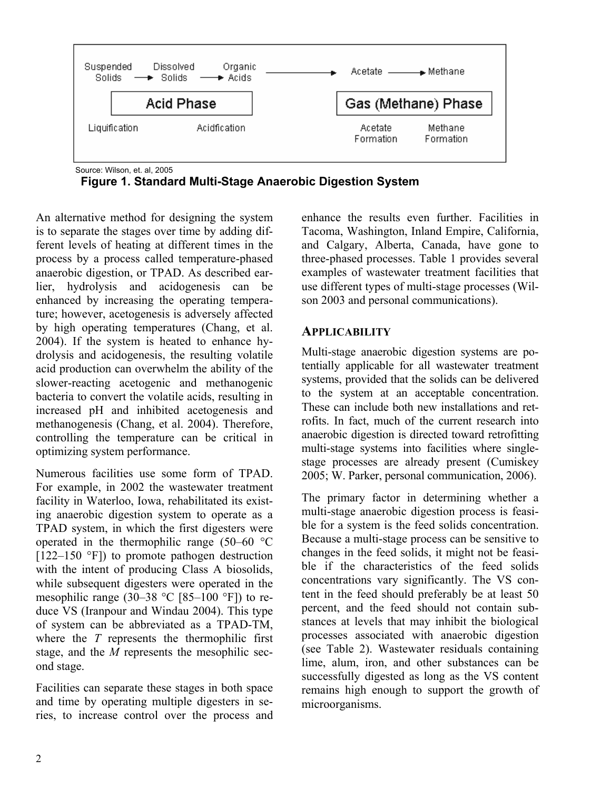

 **Figure 1. Standard Multi-Stage Anaerobic Digestion System** 

An alternative method for designing the system is to separate the stages over time by adding different levels of heating at different times in the process by a process called temperature-phased anaerobic digestion, or TPAD. As described earlier, hydrolysis and acidogenesis can be enhanced by increasing the operating temperature; however, acetogenesis is adversely affected by high operating temperatures (Chang, et al. 2004). If the system is heated to enhance hydrolysis and acidogenesis, the resulting volatile acid production can overwhelm the ability of the slower-reacting acetogenic and methanogenic bacteria to convert the volatile acids, resulting in increased pH and inhibited acetogenesis and methanogenesis (Chang, et al. 2004). Therefore, controlling the temperature can be critical in optimizing system performance.

Numerous facilities use some form of TPAD. For example, in 2002 the wastewater treatment facility in Waterloo, Iowa, rehabilitated its existing anaerobic digestion system to operate as a TPAD system, in which the first digesters were operated in the thermophilic range  $(50-60$  °C  $[122-150$  °F]) to promote pathogen destruction with the intent of producing Class A biosolids, while subsequent digesters were operated in the mesophilic range (30–38  $^{\circ}$ C [85–100  $^{\circ}$ F]) to reduce VS (Iranpour and Windau 2004). This type of system can be abbreviated as a TPAD-TM, where the *T* represents the thermophilic first stage, and the *M* represents the mesophilic second stage.

Facilities can separate these stages in both space and time by operating multiple digesters in series, to increase control over the process and enhance the results even further. Facilities in Tacoma, Washington, Inland Empire, California, and Calgary, Alberta, Canada, have gone to three-phased processes. Table 1 provides several examples of wastewater treatment facilities that use different types of multi-stage processes (Wilson 2003 and personal communications).

## **APPLICABILITY**

Multi-stage anaerobic digestion systems are potentially applicable for all wastewater treatment systems, provided that the solids can be delivered to the system at an acceptable concentration. These can include both new installations and retrofits. In fact, much of the current research into anaerobic digestion is directed toward retrofitting multi-stage systems into facilities where singlestage processes are already present (Cumiskey 2005; W. Parker, personal communication, 2006).

The primary factor in determining whether a multi-stage anaerobic digestion process is feasible for a system is the feed solids concentration. Because a multi-stage process can be sensitive to changes in the feed solids, it might not be feasible if the characteristics of the feed solids concentrations vary significantly. The VS content in the feed should preferably be at least 50 percent, and the feed should not contain substances at levels that may inhibit the biological processes associated with anaerobic digestion (see Table 2). Wastewater residuals containing lime, alum, iron, and other substances can be successfully digested as long as the VS content remains high enough to support the growth of microorganisms.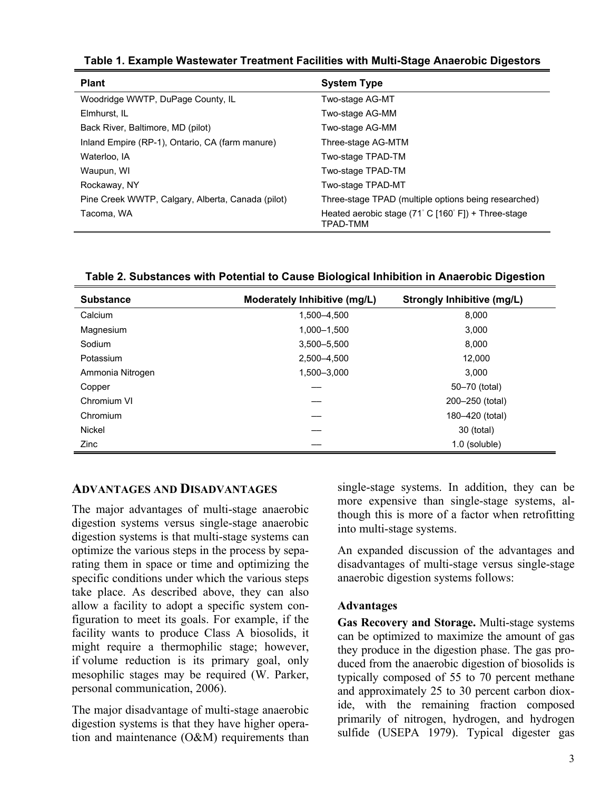| Table 1. Example Wastewater Treatment Facilities with Multi-Stage Anaerobic Digestors |  |  |  |  |  |  |
|---------------------------------------------------------------------------------------|--|--|--|--|--|--|
|---------------------------------------------------------------------------------------|--|--|--|--|--|--|

| <b>Plant</b>                                      | <b>System Type</b>                                                                               |
|---------------------------------------------------|--------------------------------------------------------------------------------------------------|
| Woodridge WWTP, DuPage County, IL                 | Two-stage AG-MT                                                                                  |
| Elmhurst. IL                                      | Two-stage AG-MM                                                                                  |
| Back River, Baltimore, MD (pilot)                 | Two-stage AG-MM                                                                                  |
| Inland Empire (RP-1), Ontario, CA (farm manure)   | Three-stage AG-MTM                                                                               |
| Waterloo, IA                                      | Two-stage TPAD-TM                                                                                |
| Waupun, WI                                        | Two-stage TPAD-TM                                                                                |
| Rockaway, NY                                      | Two-stage TPAD-MT                                                                                |
| Pine Creek WWTP, Calgary, Alberta, Canada (pilot) | Three-stage TPAD (multiple options being researched)                                             |
| Tacoma, WA                                        | Heated aerobic stage $(71^{\circ} \text{ C } [160^{\circ} \text{ F}])$ + Three-stage<br>TPAD-TMM |

| <b>Substance</b> | Moderately Inhibitive (mg/L) | <b>Strongly Inhibitive (mg/L)</b> |
|------------------|------------------------------|-----------------------------------|
| Calcium          | 1,500-4,500                  | 8.000                             |
| Magnesium        | 1,000-1,500                  | 3.000                             |
| Sodium           | 3,500-5,500                  | 8.000                             |
| Potassium        | 2,500-4,500                  | 12,000                            |
| Ammonia Nitrogen | 1,500-3,000                  | 3.000                             |
| Copper           |                              | 50-70 (total)                     |
| Chromium VI      |                              | 200-250 (total)                   |
| Chromium         |                              | 180-420 (total)                   |
| Nickel           |                              | 30 (total)                        |
| Zinc             |                              | 1.0 (soluble)                     |

**Table 2. Substances with Potential to Cause Biological Inhibition in Anaerobic Digestion** 

## **ADVANTAGES AND DISADVANTAGES**

The major advantages of multi-stage anaerobic digestion systems versus single-stage anaerobic digestion systems is that multi-stage systems can optimize the various steps in the process by separating them in space or time and optimizing the specific conditions under which the various steps take place. As described above, they can also allow a facility to adopt a specific system configuration to meet its goals. For example, if the facility wants to produce Class A biosolids, it might require a thermophilic stage; however, if volume reduction is its primary goal, only mesophilic stages may be required (W. Parker, personal communication, 2006).

The major disadvantage of multi-stage anaerobic digestion systems is that they have higher operation and maintenance (O&M) requirements than single-stage systems. In addition, they can be more expensive than single-stage systems, although this is more of a factor when retrofitting into multi-stage systems.

An expanded discussion of the advantages and disadvantages of multi-stage versus single-stage anaerobic digestion systems follows:

#### **Advantages**

**Gas Recovery and Storage.** Multi-stage systems can be optimized to maximize the amount of gas they produce in the digestion phase. The gas produced from the anaerobic digestion of biosolids is typically composed of 55 to 70 percent methane and approximately 25 to 30 percent carbon dioxide, with the remaining fraction composed primarily of nitrogen, hydrogen, and hydrogen sulfide (USEPA 1979). Typical digester gas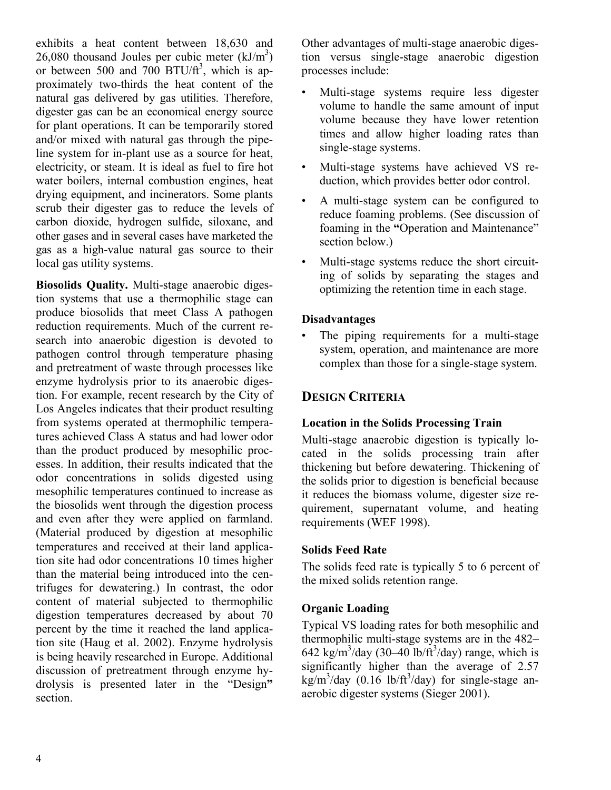exhibits a heat content between 18,630 and 26,080 thousand Joules per cubic meter  $(kJ/m<sup>3</sup>)$ or between 500 and 700 BTU/ $ft^3$ , which is approximately two-thirds the heat content of the natural gas delivered by gas utilities. Therefore, digester gas can be an economical energy source for plant operations. It can be temporarily stored and/or mixed with natural gas through the pipeline system for in-plant use as a source for heat, electricity, or steam. It is ideal as fuel to fire hot water boilers, internal combustion engines, heat drying equipment, and incinerators. Some plants scrub their digester gas to reduce the levels of carbon dioxide, hydrogen sulfide, siloxane, and other gases and in several cases have marketed the gas as a high-value natural gas source to their local gas utility systems.

**Biosolids Quality.** Multi-stage anaerobic digestion systems that use a thermophilic stage can produce biosolids that meet Class A pathogen reduction requirements. Much of the current research into anaerobic digestion is devoted to pathogen control through temperature phasing and pretreatment of waste through processes like enzyme hydrolysis prior to its anaerobic digestion. For example, recent research by the City of Los Angeles indicates that their product resulting from systems operated at thermophilic temperatures achieved Class A status and had lower odor than the product produced by mesophilic processes. In addition, their results indicated that the odor concentrations in solids digested using mesophilic temperatures continued to increase as the biosolids went through the digestion process and even after they were applied on farmland. (Material produced by digestion at mesophilic temperatures and received at their land application site had odor concentrations 10 times higher than the material being introduced into the centrifuges for dewatering.) In contrast, the odor content of material subjected to thermophilic digestion temperatures decreased by about 70 percent by the time it reached the land application site (Haug et al. 2002). Enzyme hydrolysis is being heavily researched in Europe. Additional discussion of pretreatment through enzyme hydrolysis is presented later in the "Design**"** section.

Other advantages of multi-stage anaerobic digestion versus single-stage anaerobic digestion processes include:

- Multi-stage systems require less digester volume to handle the same amount of input volume because they have lower retention times and allow higher loading rates than single-stage systems.
- Multi-stage systems have achieved VS reduction, which provides better odor control.
- A multi-stage system can be configured to reduce foaming problems. (See discussion of foaming in the **"**Operation and Maintenance" section below.)
- Multi-stage systems reduce the short circuiting of solids by separating the stages and optimizing the retention time in each stage.

#### **Disadvantages**

The piping requirements for a multi-stage system, operation, and maintenance are more complex than those for a single-stage system.

## **DESIGN CRITERIA**

## **Location in the Solids Processing Train**

Multi-stage anaerobic digestion is typically located in the solids processing train after thickening but before dewatering. Thickening of the solids prior to digestion is beneficial because it reduces the biomass volume, digester size requirement, supernatant volume, and heating requirements (WEF 1998).

## **Solids Feed Rate**

The solids feed rate is typically 5 to 6 percent of the mixed solids retention range.

## **Organic Loading**

Typical VS loading rates for both mesophilic and thermophilic multi-stage systems are in the 482–  $642 \text{ kg/m}^3/\text{day}$  (30–40 lb/ft<sup>3</sup>/day) range, which is significantly higher than the average of 2.57  $\text{kg/m}^3/\text{day}$  (0.16 lb/ft<sup>3</sup>/day) for single-stage anaerobic digester systems (Sieger 2001).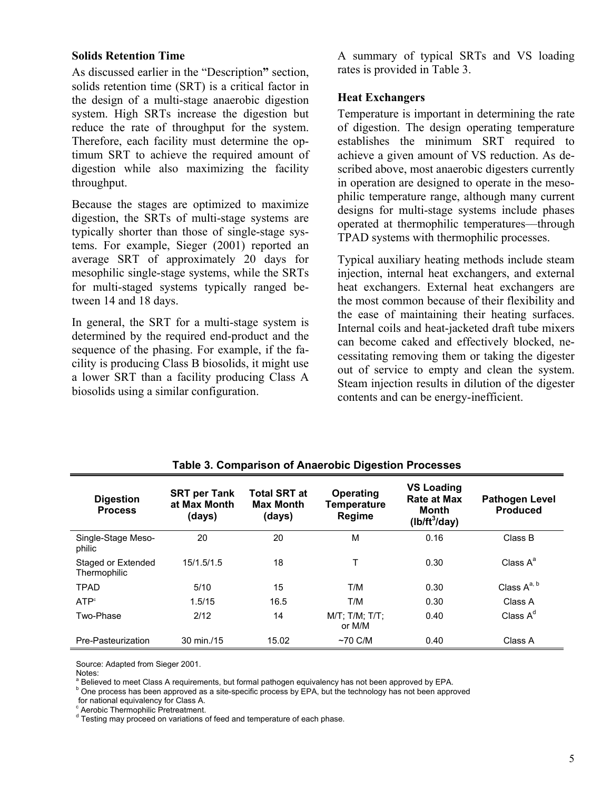#### **Solids Retention Time**

As discussed earlier in the "Description**"** section, solids retention time (SRT) is a critical factor in the design of a multi-stage anaerobic digestion system. High SRTs increase the digestion but reduce the rate of throughput for the system. Therefore, each facility must determine the optimum SRT to achieve the required amount of digestion while also maximizing the facility throughput.

Because the stages are optimized to maximize digestion, the SRTs of multi-stage systems are typically shorter than those of single-stage systems. For example, Sieger (2001) reported an average SRT of approximately 20 days for mesophilic single-stage systems, while the SRTs for multi-staged systems typically ranged between 14 and 18 days.

In general, the SRT for a multi-stage system is determined by the required end-product and the sequence of the phasing. For example, if the facility is producing Class B biosolids, it might use a lower SRT than a facility producing Class A biosolids using a similar configuration.

A summary of typical SRTs and VS loading rates is provided in Table 3.

#### **Heat Exchangers**

Temperature is important in determining the rate of digestion. The design operating temperature establishes the minimum SRT required to achieve a given amount of VS reduction. As described above, most anaerobic digesters currently in operation are designed to operate in the mesophilic temperature range, although many current designs for multi-stage systems include phases operated at thermophilic temperatures––through TPAD systems with thermophilic processes.

Typical auxiliary heating methods include steam injection, internal heat exchangers, and external heat exchangers. External heat exchangers are the most common because of their flexibility and the ease of maintaining their heating surfaces. Internal coils and heat-jacketed draft tube mixers can become caked and effectively blocked, necessitating removing them or taking the digester out of service to empty and clean the system. Steam injection results in dilution of the digester contents and can be energy-inefficient.

| <b>Digestion</b><br><b>Process</b> | <b>SRT per Tank</b><br>at Max Month<br>(days) | <b>Total SRT at</b><br><b>Max Month</b><br>(days) | Operating<br>Temperature<br>Regime | <b>VS Loading</b><br><b>Rate at Max</b><br><b>Month</b><br>$(lb/ft^3/day)$ | <b>Pathogen Level</b><br><b>Produced</b> |
|------------------------------------|-----------------------------------------------|---------------------------------------------------|------------------------------------|----------------------------------------------------------------------------|------------------------------------------|
| Single-Stage Meso-<br>philic       | 20                                            | 20                                                | M                                  | 0.16                                                                       | Class B                                  |
| Staged or Extended<br>Thermophilic | 15/1.5/1.5                                    | 18                                                |                                    | 0.30                                                                       | Class $A^a$                              |
| <b>TPAD</b>                        | 5/10                                          | 15                                                | T/M                                | 0.30                                                                       | Class $A^{a, b}$                         |
| ATP <sup>c</sup>                   | 1.5/15                                        | 16.5                                              | T/M                                | 0.30                                                                       | Class A                                  |
| Two-Phase                          | 2/12                                          | 14                                                | $M/T$ : T/M: T/T:<br>or M/M        | 0.40                                                                       | Class $A^d$                              |
| Pre-Pasteurization                 | 30 min./15                                    | 15.02                                             | $~1$ $~0$ C/M                      | 0.40                                                                       | Class A                                  |

#### **Table 3. Comparison of Anaerobic Digestion Processes**

Source: Adapted from Sieger 2001.

<sup>a</sup> Believed to meet Class A requirements, but formal pathogen equivalency has not been approved by EPA.<br><sup>b</sup> One areases has been approved as a site appeific areases by EPA, but the technology has not been approved

<sup>b</sup> One process has been approved as a site-specific process by EPA, but the technology has not been approved

for national equivalency for Class A.

<sup>c</sup> Aerobic Thermophilic Pretreatment.

<sup>d</sup> Testing may proceed on variations of feed and temperature of each phase.

Notes: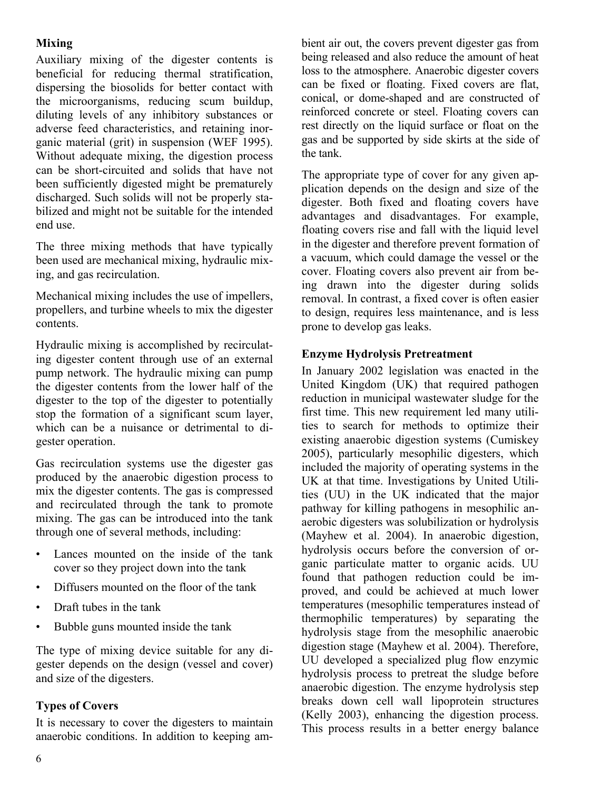## **Mixing**

Auxiliary mixing of the digester contents is beneficial for reducing thermal stratification, dispersing the biosolids for better contact with the microorganisms, reducing scum buildup, diluting levels of any inhibitory substances or adverse feed characteristics, and retaining inorganic material (grit) in suspension (WEF 1995). Without adequate mixing, the digestion process can be short-circuited and solids that have not been sufficiently digested might be prematurely discharged. Such solids will not be properly stabilized and might not be suitable for the intended end use.

The three mixing methods that have typically been used are mechanical mixing, hydraulic mixing, and gas recirculation.

Mechanical mixing includes the use of impellers, propellers, and turbine wheels to mix the digester contents.

Hydraulic mixing is accomplished by recirculating digester content through use of an external pump network. The hydraulic mixing can pump the digester contents from the lower half of the digester to the top of the digester to potentially stop the formation of a significant scum layer, which can be a nuisance or detrimental to digester operation.

Gas recirculation systems use the digester gas produced by the anaerobic digestion process to mix the digester contents. The gas is compressed and recirculated through the tank to promote mixing. The gas can be introduced into the tank through one of several methods, including:

- Lances mounted on the inside of the tank cover so they project down into the tank
- Diffusers mounted on the floor of the tank
- Draft tubes in the tank
- Bubble guns mounted inside the tank

The type of mixing device suitable for any digester depends on the design (vessel and cover) and size of the digesters.

#### **Types of Covers**

It is necessary to cover the digesters to maintain anaerobic conditions. In addition to keeping ambient air out, the covers prevent digester gas from being released and also reduce the amount of heat loss to the atmosphere. Anaerobic digester covers can be fixed or floating. Fixed covers are flat, conical, or dome-shaped and are constructed of reinforced concrete or steel. Floating covers can rest directly on the liquid surface or float on the gas and be supported by side skirts at the side of the tank.

The appropriate type of cover for any given application depends on the design and size of the digester. Both fixed and floating covers have advantages and disadvantages. For example, floating covers rise and fall with the liquid level in the digester and therefore prevent formation of a vacuum, which could damage the vessel or the cover. Floating covers also prevent air from being drawn into the digester during solids removal. In contrast, a fixed cover is often easier to design, requires less maintenance, and is less prone to develop gas leaks.

#### **Enzyme Hydrolysis Pretreatment**

In January 2002 legislation was enacted in the United Kingdom (UK) that required pathogen reduction in municipal wastewater sludge for the first time. This new requirement led many utilities to search for methods to optimize their existing anaerobic digestion systems (Cumiskey 2005), particularly mesophilic digesters, which included the majority of operating systems in the UK at that time. Investigations by United Utilities (UU) in the UK indicated that the major pathway for killing pathogens in mesophilic anaerobic digesters was solubilization or hydrolysis (Mayhew et al. 2004). In anaerobic digestion, hydrolysis occurs before the conversion of organic particulate matter to organic acids. UU found that pathogen reduction could be improved, and could be achieved at much lower temperatures (mesophilic temperatures instead of thermophilic temperatures) by separating the hydrolysis stage from the mesophilic anaerobic digestion stage (Mayhew et al. 2004). Therefore, UU developed a specialized plug flow enzymic hydrolysis process to pretreat the sludge before anaerobic digestion. The enzyme hydrolysis step breaks down cell wall lipoprotein structures (Kelly 2003), enhancing the digestion process. This process results in a better energy balance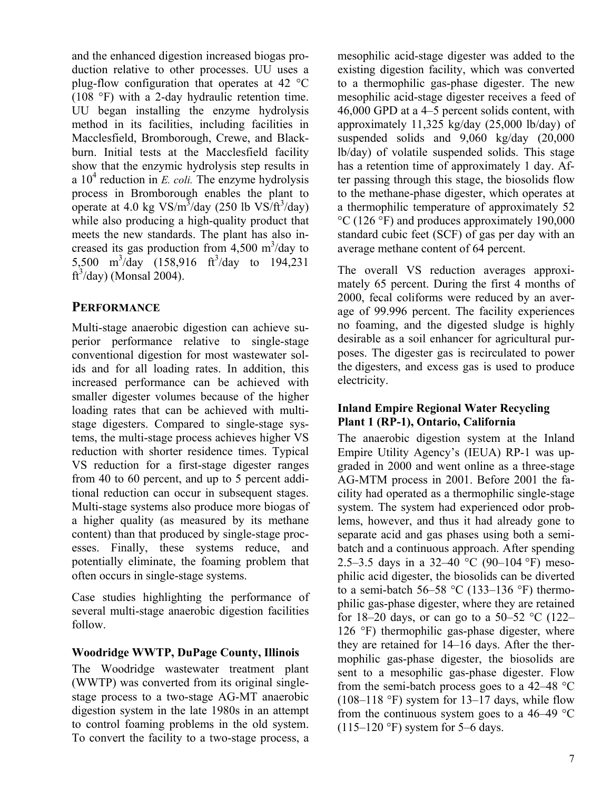and the enhanced digestion increased biogas production relative to other processes. UU uses a plug-flow configuration that operates at 42 °C (108 °F) with a 2-day hydraulic retention time. UU began installing the enzyme hydrolysis method in its facilities, including facilities in Macclesfield, Bromborough, Crewe, and Blackburn. Initial tests at the Macclesfield facility show that the enzymic hydrolysis step results in a  $10<sup>4</sup>$  reduction in *E. coli.* The enzyme hydrolysis process in Bromborough enables the plant to operate at 4.0 kg  $VS/m^3$ /day (250 lb  $VS/R^3$ /day) while also producing a high-quality product that meets the new standards. The plant has also increased its gas production from  $4,500 \text{ m}^3/\text{day}$  to 5,500 m<sup>3</sup>/day (158,916 ft<sup>3</sup>/day to 194,231  $\text{ft}^3/\text{day}$  (Monsal 2004).

## **PERFORMANCE**

Multi-stage anaerobic digestion can achieve superior performance relative to single-stage conventional digestion for most wastewater solids and for all loading rates. In addition, this increased performance can be achieved with smaller digester volumes because of the higher loading rates that can be achieved with multistage digesters. Compared to single-stage systems, the multi-stage process achieves higher VS reduction with shorter residence times. Typical VS reduction for a first-stage digester ranges from 40 to 60 percent, and up to 5 percent additional reduction can occur in subsequent stages. Multi-stage systems also produce more biogas of a higher quality (as measured by its methane content) than that produced by single-stage processes. Finally, these systems reduce, and potentially eliminate, the foaming problem that often occurs in single-stage systems.

Case studies highlighting the performance of several multi-stage anaerobic digestion facilities follow.

#### **Woodridge WWTP, DuPage County, Illinois**

The Woodridge wastewater treatment plant (WWTP) was converted from its original singlestage process to a two-stage AG-MT anaerobic digestion system in the late 1980s in an attempt to control foaming problems in the old system. To convert the facility to a two-stage process, a mesophilic acid-stage digester was added to the existing digestion facility, which was converted to a thermophilic gas-phase digester. The new mesophilic acid-stage digester receives a feed of 46,000 GPD at a 4–5 percent solids content, with approximately 11,325 kg/day (25,000 lb/day) of suspended solids and 9,060 kg/day (20,000 lb/day) of volatile suspended solids. This stage has a retention time of approximately 1 day. After passing through this stage, the biosolids flow to the methane-phase digester, which operates at a thermophilic temperature of approximately 52 °C (126 °F) and produces approximately 190,000 standard cubic feet (SCF) of gas per day with an average methane content of 64 percent.

The overall VS reduction averages approximately 65 percent. During the first 4 months of 2000, fecal coliforms were reduced by an average of 99.996 percent. The facility experiences no foaming, and the digested sludge is highly desirable as a soil enhancer for agricultural purposes. The digester gas is recirculated to power the digesters, and excess gas is used to produce electricity.

#### **Inland Empire Regional Water Recycling Plant 1 (RP-1), Ontario, California**

The anaerobic digestion system at the Inland Empire Utility Agency's (IEUA) RP-1 was upgraded in 2000 and went online as a three-stage AG-MTM process in 2001. Before 2001 the facility had operated as a thermophilic single-stage system. The system had experienced odor problems, however, and thus it had already gone to separate acid and gas phases using both a semibatch and a continuous approach. After spending 2.5–3.5 days in a 32–40 °C (90–104 °F) mesophilic acid digester, the biosolids can be diverted to a semi-batch 56–58 °C (133–136 °F) thermophilic gas-phase digester, where they are retained for 18–20 days, or can go to a 50–52  $\degree$ C (122– 126 °F) thermophilic gas-phase digester, where they are retained for 14–16 days. After the thermophilic gas-phase digester, the biosolids are sent to a mesophilic gas-phase digester. Flow from the semi-batch process goes to a 42–48 °C  $(108-118 \text{ °F})$  system for 13-17 days, while flow from the continuous system goes to a 46–49 °C  $(115–120 \text{ °F})$  system for 5–6 days.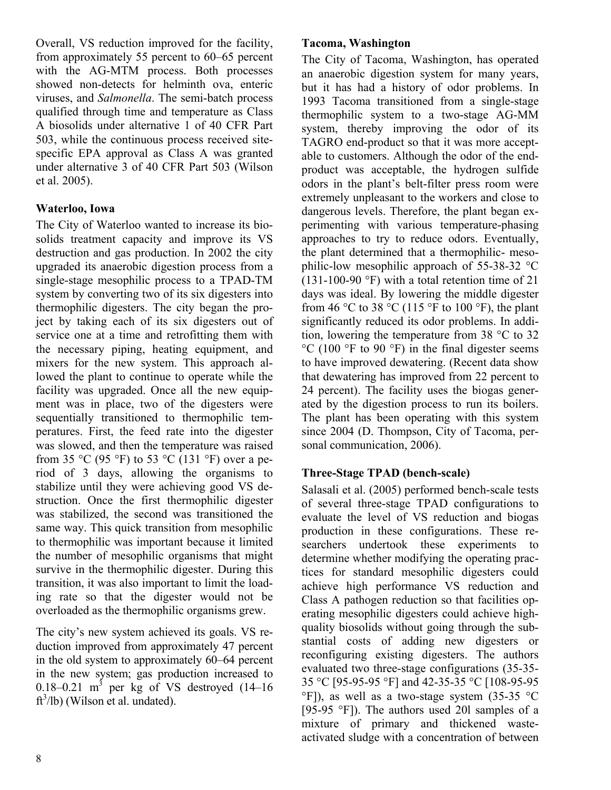Overall, VS reduction improved for the facility, from approximately 55 percent to 60–65 percent with the AG-MTM process. Both processes showed non-detects for helminth ova, enteric viruses, and *Salmonella*. The semi-batch process qualified through time and temperature as Class A biosolids under alternative 1 of 40 CFR Part 503, while the continuous process received sitespecific EPA approval as Class A was granted under alternative 3 of 40 CFR Part 503 (Wilson et al. 2005).

### **Waterloo, Iowa**

The City of Waterloo wanted to increase its biosolids treatment capacity and improve its VS destruction and gas production. In 2002 the city upgraded its anaerobic digestion process from a single-stage mesophilic process to a TPAD-TM system by converting two of its six digesters into thermophilic digesters. The city began the project by taking each of its six digesters out of service one at a time and retrofitting them with the necessary piping, heating equipment, and mixers for the new system. This approach allowed the plant to continue to operate while the facility was upgraded. Once all the new equipment was in place, two of the digesters were sequentially transitioned to thermophilic temperatures. First, the feed rate into the digester was slowed, and then the temperature was raised from 35 °C (95 °F) to 53 °C (131 °F) over a period of 3 days, allowing the organisms to stabilize until they were achieving good VS destruction. Once the first thermophilic digester was stabilized, the second was transitioned the same way. This quick transition from mesophilic to thermophilic was important because it limited the number of mesophilic organisms that might survive in the thermophilic digester. During this transition, it was also important to limit the loading rate so that the digester would not be overloaded as the thermophilic organisms grew.

The city's new system achieved its goals. VS reduction improved from approximately 47 percent in the old system to approximately 60–64 percent in the new system; gas production increased to 0.18–0.21 m<sup>3</sup> per kg of VS destroyed  $(14-16)$  $ft<sup>3</sup>/lb$  (Wilson et al. undated).

#### **Tacoma, Washington**

The City of Tacoma, Washington, has operated an anaerobic digestion system for many years, but it has had a history of odor problems. In 1993 Tacoma transitioned from a single-stage thermophilic system to a two-stage AG-MM system, thereby improving the odor of its TAGRO end-product so that it was more acceptable to customers. Although the odor of the endproduct was acceptable, the hydrogen sulfide odors in the plant's belt-filter press room were extremely unpleasant to the workers and close to dangerous levels. Therefore, the plant began experimenting with various temperature-phasing approaches to try to reduce odors. Eventually, the plant determined that a thermophilic- mesophilic-low mesophilic approach of 55-38-32 °C (131-100-90 °F) with a total retention time of 21 days was ideal. By lowering the middle digester from 46 °C to 38 °C (115 °F to 100 °F), the plant significantly reduced its odor problems. In addition, lowering the temperature from 38 °C to 32  $^{\circ}$ C (100  $^{\circ}$ F to 90  $^{\circ}$ F) in the final digester seems to have improved dewatering. (Recent data show that dewatering has improved from 22 percent to 24 percent). The facility uses the biogas generated by the digestion process to run its boilers. The plant has been operating with this system since 2004 (D. Thompson, City of Tacoma, personal communication, 2006).

#### **Three-Stage TPAD (bench-scale)**

Salasali et al. (2005) performed bench-scale tests of several three-stage TPAD configurations to evaluate the level of VS reduction and biogas production in these configurations. These researchers undertook these experiments to determine whether modifying the operating practices for standard mesophilic digesters could achieve high performance VS reduction and Class A pathogen reduction so that facilities operating mesophilic digesters could achieve highquality biosolids without going through the substantial costs of adding new digesters or reconfiguring existing digesters. The authors evaluated two three-stage configurations (35-35- 35 °C [95-95-95 °F] and 42-35-35 °C [108-95-95  $\degree$ F]), as well as a two-stage system (35-35  $\degree$ C [95-95 °F]). The authors used 20l samples of a mixture of primary and thickened wasteactivated sludge with a concentration of between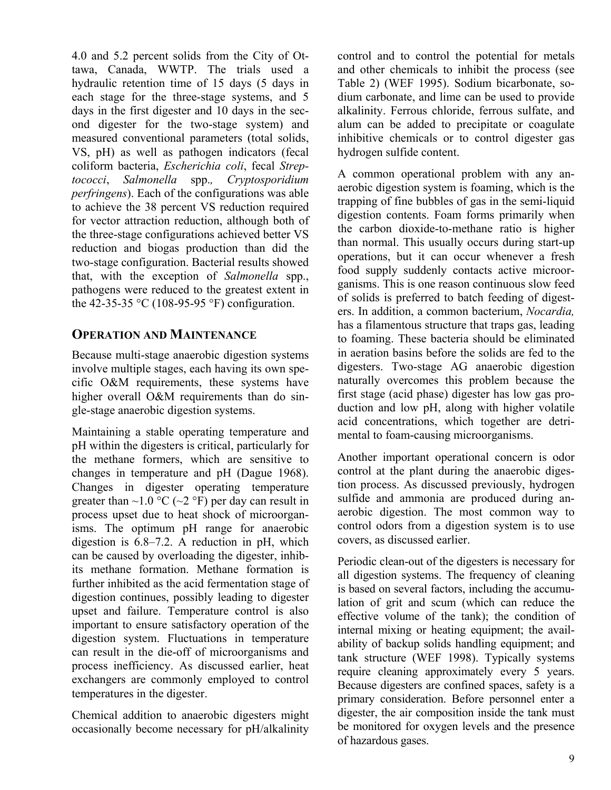4.0 and 5.2 percent solids from the City of Ottawa, Canada, WWTP. The trials used a hydraulic retention time of 15 days (5 days in each stage for the three-stage systems, and 5 days in the first digester and 10 days in the second digester for the two-stage system) and measured conventional parameters (total solids, VS, pH) as well as pathogen indicators (fecal coliform bacteria, *Escherichia coli*, fecal *Streptococci*, *Salmonella* spp.*, Cryptosporidium perfringens*). Each of the configurations was able to achieve the 38 percent VS reduction required for vector attraction reduction, although both of the three-stage configurations achieved better VS reduction and biogas production than did the two-stage configuration. Bacterial results showed that, with the exception of *Salmonella* spp., pathogens were reduced to the greatest extent in the 42-35-35 °C (108-95-95 °F) configuration.

#### **OPERATION AND MAINTENANCE**

Because multi-stage anaerobic digestion systems involve multiple stages, each having its own specific O&M requirements, these systems have higher overall O&M requirements than do single-stage anaerobic digestion systems.

Maintaining a stable operating temperature and pH within the digesters is critical, particularly for the methane formers, which are sensitive to changes in temperature and pH (Dague 1968). Changes in digester operating temperature greater than  $\sim$ 1.0 °C ( $\sim$ 2 °F) per day can result in process upset due to heat shock of microorganisms. The optimum pH range for anaerobic digestion is 6.8–7.2. A reduction in pH, which can be caused by overloading the digester, inhibits methane formation. Methane formation is further inhibited as the acid fermentation stage of digestion continues, possibly leading to digester upset and failure. Temperature control is also important to ensure satisfactory operation of the digestion system. Fluctuations in temperature can result in the die-off of microorganisms and process inefficiency. As discussed earlier, heat exchangers are commonly employed to control temperatures in the digester.

Chemical addition to anaerobic digesters might occasionally become necessary for pH/alkalinity control and to control the potential for metals and other chemicals to inhibit the process (see Table 2) (WEF 1995). Sodium bicarbonate, sodium carbonate, and lime can be used to provide alkalinity. Ferrous chloride, ferrous sulfate, and alum can be added to precipitate or coagulate inhibitive chemicals or to control digester gas hydrogen sulfide content.

A common operational problem with any anaerobic digestion system is foaming, which is the trapping of fine bubbles of gas in the semi-liquid digestion contents. Foam forms primarily when the carbon dioxide-to-methane ratio is higher than normal. This usually occurs during start-up operations, but it can occur whenever a fresh food supply suddenly contacts active microorganisms. This is one reason continuous slow feed of solids is preferred to batch feeding of digesters. In addition, a common bacterium, *Nocardia,* has a filamentous structure that traps gas, leading to foaming. These bacteria should be eliminated in aeration basins before the solids are fed to the digesters. Two-stage AG anaerobic digestion naturally overcomes this problem because the first stage (acid phase) digester has low gas production and low pH, along with higher volatile acid concentrations, which together are detrimental to foam-causing microorganisms.

Another important operational concern is odor control at the plant during the anaerobic digestion process. As discussed previously, hydrogen sulfide and ammonia are produced during anaerobic digestion. The most common way to control odors from a digestion system is to use covers, as discussed earlier.

Periodic clean-out of the digesters is necessary for all digestion systems. The frequency of cleaning is based on several factors, including the accumulation of grit and scum (which can reduce the effective volume of the tank); the condition of internal mixing or heating equipment; the availability of backup solids handling equipment; and tank structure (WEF 1998). Typically systems require cleaning approximately every 5 years. Because digesters are confined spaces, safety is a primary consideration. Before personnel enter a digester, the air composition inside the tank must be monitored for oxygen levels and the presence of hazardous gases.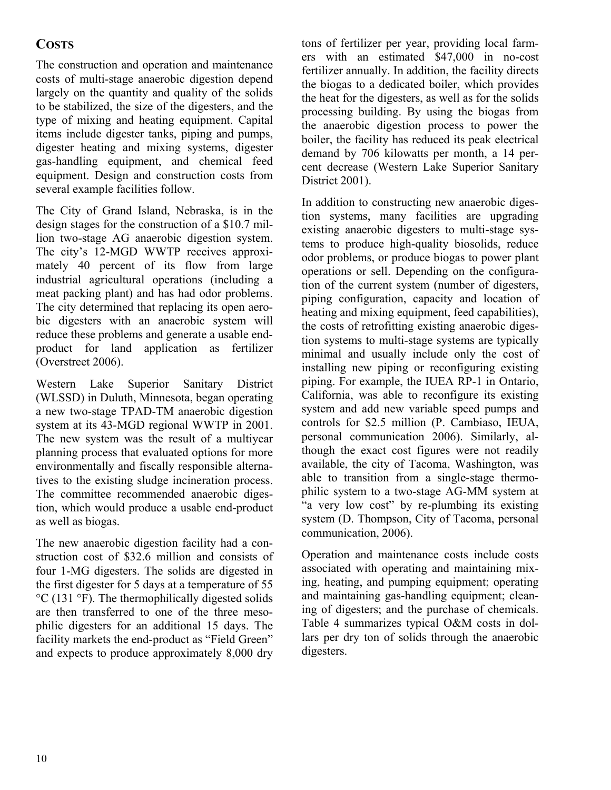## **COSTS**

The construction and operation and maintenance costs of multi-stage anaerobic digestion depend largely on the quantity and quality of the solids to be stabilized, the size of the digesters, and the type of mixing and heating equipment. Capital items include digester tanks, piping and pumps, digester heating and mixing systems, digester gas-handling equipment, and chemical feed equipment. Design and construction costs from several example facilities follow.

The City of Grand Island, Nebraska, is in the design stages for the construction of a \$10.7 million two-stage AG anaerobic digestion system. The city's 12-MGD WWTP receives approximately 40 percent of its flow from large industrial agricultural operations (including a meat packing plant) and has had odor problems. The city determined that replacing its open aerobic digesters with an anaerobic system will reduce these problems and generate a usable endproduct for land application as fertilizer (Overstreet 2006).

Western Lake Superior Sanitary District (WLSSD) in Duluth, Minnesota, began operating a new two-stage TPAD-TM anaerobic digestion system at its 43-MGD regional WWTP in 2001. The new system was the result of a multiyear planning process that evaluated options for more environmentally and fiscally responsible alternatives to the existing sludge incineration process. The committee recommended anaerobic digestion, which would produce a usable end-product as well as biogas.

The new anaerobic digestion facility had a construction cost of \$32.6 million and consists of four 1-MG digesters. The solids are digested in the first digester for 5 days at a temperature of 55 °C (131 °F). The thermophilically digested solids are then transferred to one of the three mesophilic digesters for an additional 15 days. The facility markets the end-product as "Field Green" and expects to produce approximately 8,000 dry tons of fertilizer per year, providing local farmers with an estimated \$47,000 in no-cost fertilizer annually. In addition, the facility directs the biogas to a dedicated boiler, which provides the heat for the digesters, as well as for the solids processing building. By using the biogas from the anaerobic digestion process to power the boiler, the facility has reduced its peak electrical demand by 706 kilowatts per month, a 14 percent decrease (Western Lake Superior Sanitary District 2001).

In addition to constructing new anaerobic digestion systems, many facilities are upgrading existing anaerobic digesters to multi-stage systems to produce high-quality biosolids, reduce odor problems, or produce biogas to power plant operations or sell. Depending on the configuration of the current system (number of digesters, piping configuration, capacity and location of heating and mixing equipment, feed capabilities), the costs of retrofitting existing anaerobic digestion systems to multi-stage systems are typically minimal and usually include only the cost of installing new piping or reconfiguring existing piping. For example, the IUEA RP-1 in Ontario, California, was able to reconfigure its existing system and add new variable speed pumps and controls for \$2.5 million (P. Cambiaso, IEUA, personal communication 2006). Similarly, although the exact cost figures were not readily available, the city of Tacoma, Washington, was able to transition from a single-stage thermophilic system to a two-stage AG-MM system at "a very low cost" by re-plumbing its existing system (D. Thompson, City of Tacoma, personal communication, 2006).

Operation and maintenance costs include costs associated with operating and maintaining mixing, heating, and pumping equipment; operating and maintaining gas-handling equipment; cleaning of digesters; and the purchase of chemicals. Table 4 summarizes typical O&M costs in dollars per dry ton of solids through the anaerobic digesters.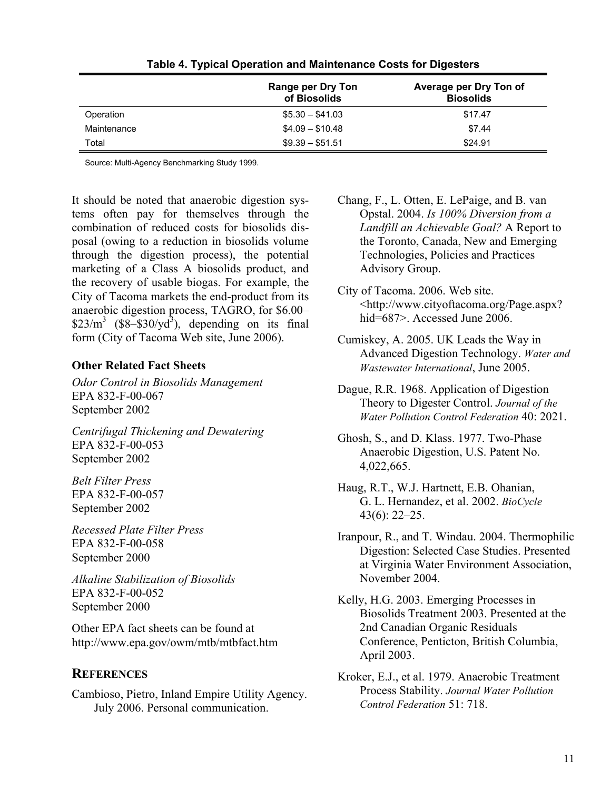|             | <b>Range per Dry Ton</b><br>of Biosolids | Average per Dry Ton of<br><b>Biosolids</b> |
|-------------|------------------------------------------|--------------------------------------------|
| Operation   | $$5.30 - $41.03$                         | \$17.47                                    |
| Maintenance | $$4.09 - $10.48$                         | \$7.44                                     |
| Total       | $$9.39 - $51.51$                         | \$24.91                                    |

**Table 4. Typical Operation and Maintenance Costs for Digesters** 

Source: Multi-Agency Benchmarking Study 1999.

It should be noted that anaerobic digestion systems often pay for themselves through the combination of reduced costs for biosolids disposal (owing to a reduction in biosolids volume through the digestion process), the potential marketing of a Class A biosolids product, and the recovery of usable biogas. For example, the City of Tacoma markets the end-product from its anaerobic digestion process, TAGRO, for \$6.00–  $$23/m<sup>3</sup>$  (\$8-\$30/yd<sup>3</sup>), depending on its final form (City of Tacoma Web site, June 2006).

#### **Other Related Fact Sheets**

*Odor Control in Biosolids Management*  EPA 832-F-00-067 September 2002

*Centrifugal Thickening and Dewatering*  EPA 832-F-00-053 September 2002

*Belt Filter Press*  EPA 832-F-00-057 September 2002

*Recessed Plate Filter Press* EPA 832-F-00-058 September 2000

*Alkaline Stabilization of Biosolids*  EPA 832-F-00-052 September 2000

Other EPA fact sheets can be found at http://www.epa.gov/owm/mtb/mtbfact.htm

## **REFERENCES**

Cambioso, Pietro, Inland Empire Utility Agency. July 2006. Personal communication.

Chang, F., L. Otten, E. LePaige, and B. van Opstal. 2004. *Is 100% Diversion from a Landfill an Achievable Goal?* A Report to the Toronto, Canada, New and Emerging Technologies, Policies and Practices Advisory Group.

City of Tacoma. 2006. Web site. <http://www.cityoftacoma.org/Page.aspx? hid=687>. Accessed June 2006.

- Cumiskey, A. 2005. UK Leads the Way in Advanced Digestion Technology. *Water and Wastewater International*, June 2005.
- Dague, R.R. 1968. Application of Digestion Theory to Digester Control. *Journal of the Water Pollution Control Federation* 40: 2021.
- Ghosh, S., and D. Klass. 1977. Two-Phase Anaerobic Digestion, U.S. Patent No. 4,022,665.
- Haug, R.T., W.J. Hartnett, E.B. Ohanian, G. L. Hernandez, et al. 2002. *BioCycle* 43(6): 22–25.
- Iranpour, R., and T. Windau. 2004. Thermophilic Digestion: Selected Case Studies. Presented at Virginia Water Environment Association, November 2004.

Kelly, H.G. 2003. Emerging Processes in Biosolids Treatment 2003. Presented at the 2nd Canadian Organic Residuals Conference, Penticton, British Columbia, April 2003.

Kroker, E.J., et al. 1979. Anaerobic Treatment Process Stability. *Journal Water Pollution Control Federation* 51: 718.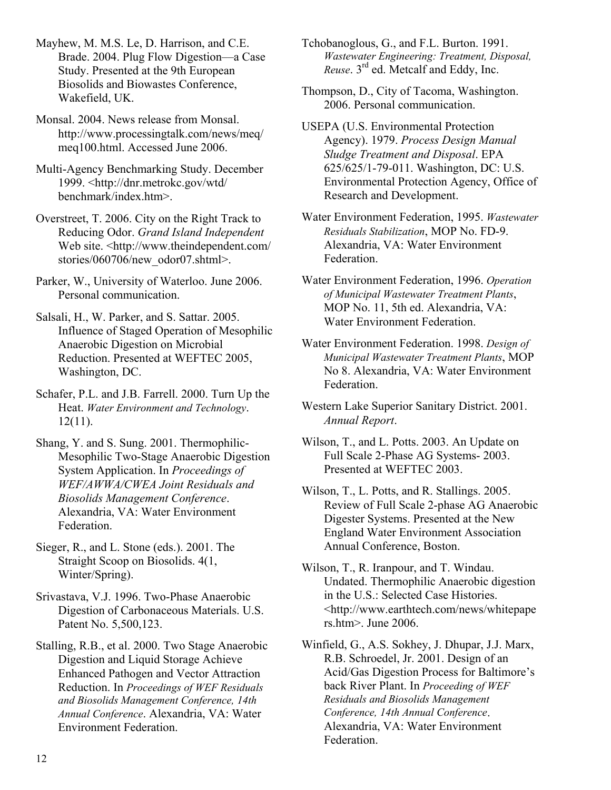Mayhew, M. M.S. Le, D. Harrison, and C.E. Brade. 2004. Plug Flow Digestion––a Case Study. Presented at the 9th European Biosolids and Biowastes Conference, Wakefield, UK.

Monsal. 2004. News release from Monsal. http://www.processingtalk.com/news/meq/ meq100.html. Accessed June 2006.

Multi-Agency Benchmarking Study. December 1999. <http://dnr.metrokc.gov/wtd/ benchmark/index.htm>.

Overstreet, T. 2006. City on the Right Track to Reducing Odor. *Grand Island Independent* Web site. <http://www.theindependent.com/ stories/060706/new\_odor07.shtml>.

Parker, W., University of Waterloo. June 2006. Personal communication.

Salsali, H., W. Parker, and S. Sattar. 2005. Influence of Staged Operation of Mesophilic Anaerobic Digestion on Microbial Reduction. Presented at WEFTEC 2005, Washington, DC.

Schafer, P.L. and J.B. Farrell. 2000. Turn Up the Heat. *Water Environment and Technology*. 12(11).

Shang, Y. and S. Sung. 2001. Thermophilic-Mesophilic Two-Stage Anaerobic Digestion System Application. In *Proceedings of WEF/AWWA/CWEA Joint Residuals and Biosolids Management Conference*. Alexandria, VA: Water Environment Federation.

Sieger, R., and L. Stone (eds.). 2001. The Straight Scoop on Biosolids. 4(1, Winter/Spring).

Srivastava, V.J. 1996. Two-Phase Anaerobic Digestion of Carbonaceous Materials. U.S. Patent No. 5,500,123.

Stalling, R.B., et al. 2000. Two Stage Anaerobic Digestion and Liquid Storage Achieve Enhanced Pathogen and Vector Attraction Reduction. In *Proceedings of WEF Residuals and Biosolids Management Conference, 14th Annual Conference*. Alexandria, VA: Water Environment Federation.

Tchobanoglous, G., and F.L. Burton. 1991. *Wastewater Engineering: Treatment, Disposal, Reuse*. 3rd ed. Metcalf and Eddy, Inc.

Thompson, D., City of Tacoma, Washington. 2006. Personal communication.

USEPA (U.S. Environmental Protection Agency). 1979. *Process Design Manual Sludge Treatment and Disposal*. EPA 625/625/1-79-011. Washington, DC: U.S. Environmental Protection Agency, Office of Research and Development.

Water Environment Federation, 1995. *Wastewater Residuals Stabilization*, MOP No. FD-9. Alexandria, VA: Water Environment Federation.

Water Environment Federation, 1996. *Operation of Municipal Wastewater Treatment Plants*, MOP No. 11, 5th ed. Alexandria, VA: Water Environment Federation.

Water Environment Federation. 1998. *Design of Municipal Wastewater Treatment Plants*, MOP No 8. Alexandria, VA: Water Environment Federation.

Western Lake Superior Sanitary District. 2001. *Annual Report*.

Wilson, T., and L. Potts. 2003. An Update on Full Scale 2-Phase AG Systems- 2003. Presented at WEFTEC 2003.

Wilson, T., L. Potts, and R. Stallings. 2005. Review of Full Scale 2-phase AG Anaerobic Digester Systems. Presented at the New England Water Environment Association Annual Conference, Boston.

Wilson, T., R. Iranpour, and T. Windau. Undated. Thermophilic Anaerobic digestion in the U.S.: Selected Case Histories. <http://www.earthtech.com/news/whitepape rs.htm>. June 2006.

Winfield, G., A.S. Sokhey, J. Dhupar, J.J. Marx, R.B. Schroedel, Jr. 2001. Design of an Acid/Gas Digestion Process for Baltimore's back River Plant. In *Proceeding of WEF Residuals and Biosolids Management Conference, 14th Annual Conference*. Alexandria, VA: Water Environment Federation.